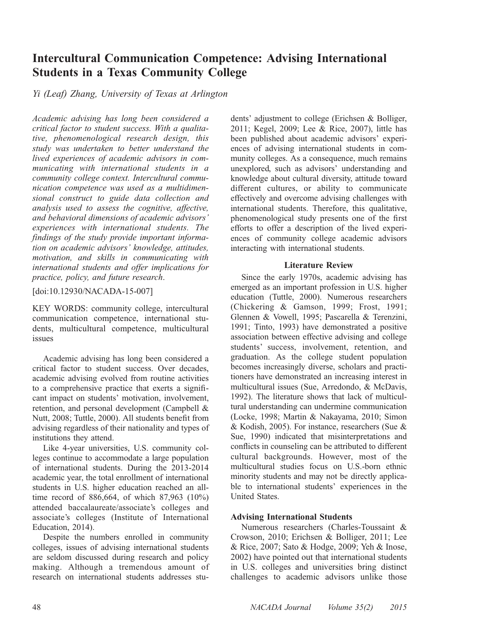# Intercultural Communication Competence: Advising International Students in a Texas Community College

Yi (Leaf) Zhang, University of Texas at Arlington

Academic advising has long been considered a critical factor to student success. With a qualitative, phenomenological research design, this study was undertaken to better understand the lived experiences of academic advisors in communicating with international students in a community college context. Intercultural communication competence was used as a multidimensional construct to guide data collection and analysis used to assess the cognitive, affective, and behavioral dimensions of academic advisors' experiences with international students. The findings of the study provide important information on academic advisors' knowledge, attitudes, motivation, and skills in communicating with international students and offer implications for practice, policy, and future research.

[doi:10.12930/NACADA-15-007]

KEY WORDS: community college, intercultural communication competence, international students, multicultural competence, multicultural issues

Academic advising has long been considered a critical factor to student success. Over decades, academic advising evolved from routine activities to a comprehensive practice that exerts a significant impact on students' motivation, involvement, retention, and personal development (Campbell & Nutt, 2008; Tuttle, 2000). All students benefit from advising regardless of their nationality and types of institutions they attend.

Like 4-year universities, U.S. community colleges continue to accommodate a large population of international students. During the 2013-2014 academic year, the total enrollment of international students in U.S. higher education reached an alltime record of 886,664, of which 87,963 (10%) attended baccalaureate/associate's colleges and associate's colleges (Institute of International Education, 2014).

Despite the numbers enrolled in community colleges, issues of advising international students are seldom discussed during research and policy making. Although a tremendous amount of research on international students addresses students' adjustment to college (Erichsen & Bolliger, 2011; Kegel, 2009; Lee & Rice, 2007), little has been published about academic advisors' experiences of advising international students in community colleges. As a consequence, much remains unexplored, such as advisors' understanding and knowledge about cultural diversity, attitude toward different cultures, or ability to communicate effectively and overcome advising challenges with international students. Therefore, this qualitative, phenomenological study presents one of the first efforts to offer a description of the lived experiences of community college academic advisors interacting with international students.

## Literature Review

Since the early 1970s, academic advising has emerged as an important profession in U.S. higher education (Tuttle, 2000). Numerous researchers (Chickering & Gamson, 1999; Frost, 1991; Glennen & Vowell, 1995; Pascarella & Terenzini, 1991; Tinto, 1993) have demonstrated a positive association between effective advising and college students' success, involvement, retention, and graduation. As the college student population becomes increasingly diverse, scholars and practitioners have demonstrated an increasing interest in multicultural issues (Sue, Arredondo, & McDavis, 1992). The literature shows that lack of multicultural understanding can undermine communication (Locke, 1998; Martin & Nakayama, 2010; Simon & Kodish, 2005). For instance, researchers (Sue & Sue, 1990) indicated that misinterpretations and conflicts in counseling can be attributed to different cultural backgrounds. However, most of the multicultural studies focus on U.S.-born ethnic minority students and may not be directly applicable to international students' experiences in the United States.

# Advising International Students

Numerous researchers (Charles-Toussaint & Crowson, 2010; Erichsen & Bolliger, 2011; Lee & Rice, 2007; Sato & Hodge, 2009; Yeh & Inose, 2002) have pointed out that international students in U.S. colleges and universities bring distinct challenges to academic advisors unlike those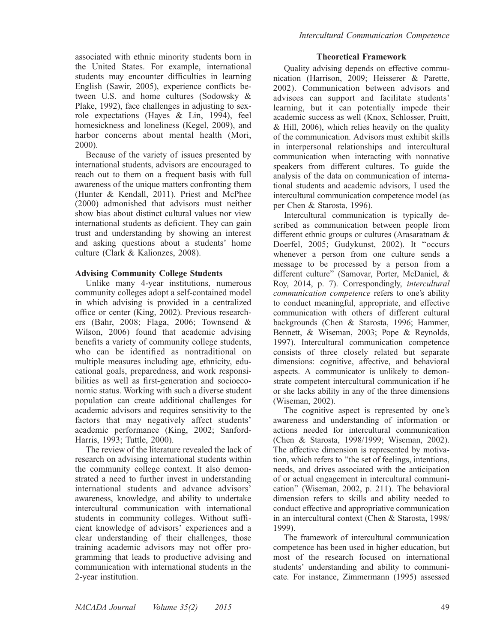associated with ethnic minority students born in the United States. For example, international students may encounter difficulties in learning English (Sawir, 2005), experience conflicts between U.S. and home cultures (Sodowsky & Plake, 1992), face challenges in adjusting to sexrole expectations (Hayes & Lin, 1994), feel homesickness and loneliness (Kegel, 2009), and harbor concerns about mental health (Mori, 2000).

Because of the variety of issues presented by international students, advisors are encouraged to reach out to them on a frequent basis with full awareness of the unique matters confronting them (Hunter & Kendall, 2011). Priest and McPhee (2000) admonished that advisors must neither show bias about distinct cultural values nor view international students as deficient. They can gain trust and understanding by showing an interest and asking questions about a students' home culture (Clark & Kalionzes, 2008).

## Advising Community College Students

Unlike many 4-year institutions, numerous community colleges adopt a self-contained model in which advising is provided in a centralized office or center (King, 2002). Previous researchers (Bahr, 2008; Flaga, 2006; Townsend & Wilson, 2006) found that academic advising benefits a variety of community college students, who can be identified as nontraditional on multiple measures including age, ethnicity, educational goals, preparedness, and work responsibilities as well as first-generation and socioeconomic status. Working with such a diverse student population can create additional challenges for academic advisors and requires sensitivity to the factors that may negatively affect students' academic performance (King, 2002; Sanford-Harris, 1993; Tuttle, 2000).

The review of the literature revealed the lack of research on advising international students within the community college context. It also demonstrated a need to further invest in understanding international students and advance advisors' awareness, knowledge, and ability to undertake intercultural communication with international students in community colleges. Without sufficient knowledge of advisors' experiences and a clear understanding of their challenges, those training academic advisors may not offer programming that leads to productive advising and communication with international students in the 2-year institution.

## Theoretical Framework

Quality advising depends on effective communication (Harrison, 2009; Heisserer & Parette, 2002). Communication between advisors and advisees can support and facilitate students' learning, but it can potentially impede their academic success as well (Knox, Schlosser, Pruitt, & Hill, 2006), which relies heavily on the quality of the communication. Advisors must exhibit skills in interpersonal relationships and intercultural communication when interacting with nonnative speakers from different cultures. To guide the analysis of the data on communication of international students and academic advisors, I used the intercultural communication competence model (as per Chen & Starosta, 1996).

Intercultural communication is typically described as communication between people from different ethnic groups or cultures (Arasaratnam & Doerfel, 2005; Gudykunst, 2002). It ''occurs whenever a person from one culture sends a message to be processed by a person from a different culture'' (Samovar, Porter, McDaniel, & Roy, 2014, p. 7). Correspondingly, intercultural communication competence refers to one's ability to conduct meaningful, appropriate, and effective communication with others of different cultural backgrounds (Chen & Starosta, 1996; Hammer, Bennett, & Wiseman, 2003; Pope & Reynolds, 1997). Intercultural communication competence consists of three closely related but separate dimensions: cognitive, affective, and behavioral aspects. A communicator is unlikely to demonstrate competent intercultural communication if he or she lacks ability in any of the three dimensions (Wiseman, 2002).

The cognitive aspect is represented by one's awareness and understanding of information or actions needed for intercultural communication (Chen & Starosta, 1998/1999; Wiseman, 2002). The affective dimension is represented by motivation, which refers to ''the set of feelings, intentions, needs, and drives associated with the anticipation of or actual engagement in intercultural communication'' (Wiseman, 2002, p. 211). The behavioral dimension refers to skills and ability needed to conduct effective and appropriative communication in an intercultural context (Chen & Starosta, 1998/ 1999).

The framework of intercultural communication competence has been used in higher education, but most of the research focused on international students' understanding and ability to communicate. For instance, Zimmermann (1995) assessed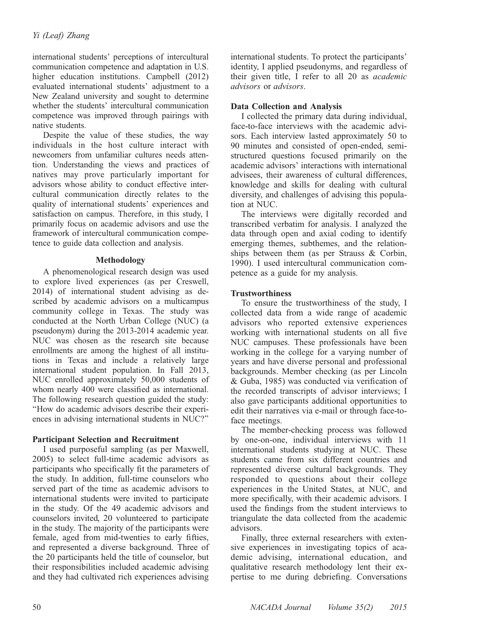international students' perceptions of intercultural communication competence and adaptation in U.S. higher education institutions. Campbell (2012) evaluated international students' adjustment to a New Zealand university and sought to determine whether the students' intercultural communication competence was improved through pairings with native students.

Despite the value of these studies, the way individuals in the host culture interact with newcomers from unfamiliar cultures needs attention. Understanding the views and practices of natives may prove particularly important for advisors whose ability to conduct effective intercultural communication directly relates to the quality of international students' experiences and satisfaction on campus. Therefore, in this study, I primarily focus on academic advisors and use the framework of intercultural communication competence to guide data collection and analysis.

# Methodology

A phenomenological research design was used to explore lived experiences (as per Creswell, 2014) of international student advising as described by academic advisors on a multicampus community college in Texas. The study was conducted at the North Urban College (NUC) (a pseudonym) during the 2013-2014 academic year. NUC was chosen as the research site because enrollments are among the highest of all institutions in Texas and include a relatively large international student population. In Fall 2013, NUC enrolled approximately 50,000 students of whom nearly 400 were classified as international. The following research question guided the study: ''How do academic advisors describe their experiences in advising international students in NUC?''

## Participant Selection and Recruitment

I used purposeful sampling (as per Maxwell, 2005) to select full-time academic advisors as participants who specifically fit the parameters of the study. In addition, full-time counselors who served part of the time as academic advisors to international students were invited to participate in the study. Of the 49 academic advisors and counselors invited, 20 volunteered to participate in the study. The majority of the participants were female, aged from mid-twenties to early fifties, and represented a diverse background. Three of the 20 participants held the title of counselor, but their responsibilities included academic advising and they had cultivated rich experiences advising international students. To protect the participants' identity, I applied pseudonyms, and regardless of their given title, I refer to all 20 as academic advisors or advisors.

# Data Collection and Analysis

I collected the primary data during individual, face-to-face interviews with the academic advisors. Each interview lasted approximately 50 to 90 minutes and consisted of open-ended, semistructured questions focused primarily on the academic advisors' interactions with international advisees, their awareness of cultural differences, knowledge and skills for dealing with cultural diversity, and challenges of advising this population at NUC.

The interviews were digitally recorded and transcribed verbatim for analysis. I analyzed the data through open and axial coding to identify emerging themes, subthemes, and the relationships between them (as per Strauss & Corbin, 1990). I used intercultural communication competence as a guide for my analysis.

# **Trustworthiness**

To ensure the trustworthiness of the study, I collected data from a wide range of academic advisors who reported extensive experiences working with international students on all five NUC campuses. These professionals have been working in the college for a varying number of years and have diverse personal and professional backgrounds. Member checking (as per Lincoln & Guba, 1985) was conducted via verification of the recorded transcripts of advisor interviews; I also gave participants additional opportunities to edit their narratives via e-mail or through face-toface meetings.

The member-checking process was followed by one-on-one, individual interviews with 11 international students studying at NUC. These students came from six different countries and represented diverse cultural backgrounds. They responded to questions about their college experiences in the United States, at NUC, and more specifically, with their academic advisors. I used the findings from the student interviews to triangulate the data collected from the academic advisors.

Finally, three external researchers with extensive experiences in investigating topics of academic advising, international education, and qualitative research methodology lent their expertise to me during debriefing. Conversations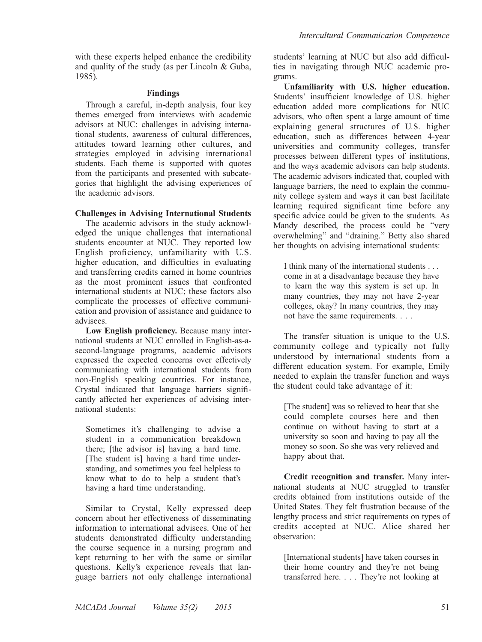with these experts helped enhance the credibility and quality of the study (as per Lincoln & Guba, 1985).

## Findings

Through a careful, in-depth analysis, four key themes emerged from interviews with academic advisors at NUC: challenges in advising international students, awareness of cultural differences, attitudes toward learning other cultures, and strategies employed in advising international students. Each theme is supported with quotes from the participants and presented with subcategories that highlight the advising experiences of the academic advisors.

# Challenges in Advising International Students

The academic advisors in the study acknowledged the unique challenges that international students encounter at NUC. They reported low English proficiency, unfamiliarity with U.S. higher education, and difficulties in evaluating and transferring credits earned in home countries as the most prominent issues that confronted international students at NUC; these factors also complicate the processes of effective communication and provision of assistance and guidance to advisees.

Low English proficiency. Because many international students at NUC enrolled in English-as-asecond-language programs, academic advisors expressed the expected concerns over effectively communicating with international students from non-English speaking countries. For instance, Crystal indicated that language barriers significantly affected her experiences of advising international students:

Sometimes it's challenging to advise a student in a communication breakdown there; [the advisor is] having a hard time. [The student is] having a hard time understanding, and sometimes you feel helpless to know what to do to help a student that's having a hard time understanding.

Similar to Crystal, Kelly expressed deep concern about her effectiveness of disseminating information to international advisees. One of her students demonstrated difficulty understanding the course sequence in a nursing program and kept returning to her with the same or similar questions. Kelly's experience reveals that language barriers not only challenge international

students' learning at NUC but also add difficulties in navigating through NUC academic programs.

Unfamiliarity with U.S. higher education. Students' insufficient knowledge of U.S. higher education added more complications for NUC advisors, who often spent a large amount of time explaining general structures of U.S. higher education, such as differences between 4-year universities and community colleges, transfer processes between different types of institutions, and the ways academic advisors can help students. The academic advisors indicated that, coupled with language barriers, the need to explain the community college system and ways it can best facilitate learning required significant time before any specific advice could be given to the students. As Mandy described, the process could be ''very overwhelming'' and ''draining.'' Betty also shared her thoughts on advising international students:

I think many of the international students . . . come in at a disadvantage because they have to learn the way this system is set up. In many countries, they may not have 2-year colleges, okay? In many countries, they may not have the same requirements. . . .

The transfer situation is unique to the U.S. community college and typically not fully understood by international students from a different education system. For example, Emily needed to explain the transfer function and ways the student could take advantage of it:

[The student] was so relieved to hear that she could complete courses here and then continue on without having to start at a university so soon and having to pay all the money so soon. So she was very relieved and happy about that.

Credit recognition and transfer. Many international students at NUC struggled to transfer credits obtained from institutions outside of the United States. They felt frustration because of the lengthy process and strict requirements on types of credits accepted at NUC. Alice shared her observation:

[International students] have taken courses in their home country and they're not being transferred here. . . . They're not looking at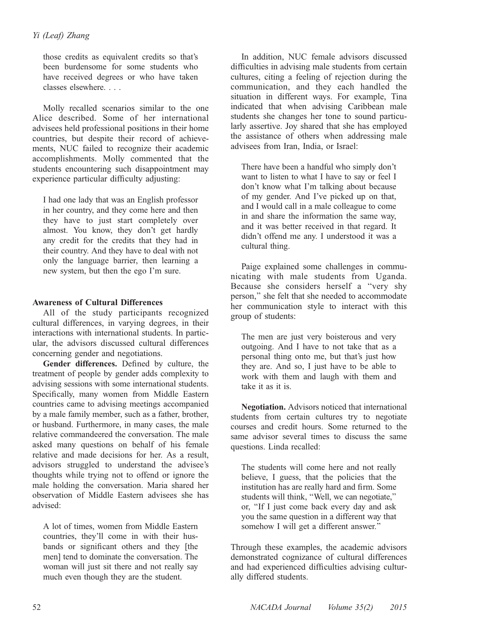those credits as equivalent credits so that's been burdensome for some students who have received degrees or who have taken classes elsewhere. . . .

Molly recalled scenarios similar to the one Alice described. Some of her international advisees held professional positions in their home countries, but despite their record of achievements, NUC failed to recognize their academic accomplishments. Molly commented that the students encountering such disappointment may experience particular difficulty adjusting:

I had one lady that was an English professor in her country, and they come here and then they have to just start completely over almost. You know, they don't get hardly any credit for the credits that they had in their country. And they have to deal with not only the language barrier, then learning a new system, but then the ego I'm sure.

# Awareness of Cultural Differences

All of the study participants recognized cultural differences, in varying degrees, in their interactions with international students. In particular, the advisors discussed cultural differences concerning gender and negotiations.

Gender differences. Defined by culture, the treatment of people by gender adds complexity to advising sessions with some international students. Specifically, many women from Middle Eastern countries came to advising meetings accompanied by a male family member, such as a father, brother, or husband. Furthermore, in many cases, the male relative commandeered the conversation. The male asked many questions on behalf of his female relative and made decisions for her. As a result, advisors struggled to understand the advisee's thoughts while trying not to offend or ignore the male holding the conversation. Maria shared her observation of Middle Eastern advisees she has advised:

A lot of times, women from Middle Eastern countries, they'll come in with their husbands or significant others and they [the men] tend to dominate the conversation. The woman will just sit there and not really say much even though they are the student.

In addition, NUC female advisors discussed difficulties in advising male students from certain cultures, citing a feeling of rejection during the communication, and they each handled the situation in different ways. For example, Tina indicated that when advising Caribbean male students she changes her tone to sound particularly assertive. Joy shared that she has employed the assistance of others when addressing male advisees from Iran, India, or Israel:

There have been a handful who simply don't want to listen to what I have to say or feel I don't know what I'm talking about because of my gender. And I've picked up on that, and I would call in a male colleague to come in and share the information the same way, and it was better received in that regard. It didn't offend me any. I understood it was a cultural thing.

Paige explained some challenges in communicating with male students from Uganda. Because she considers herself a ''very shy person,'' she felt that she needed to accommodate her communication style to interact with this group of students:

The men are just very boisterous and very outgoing. And I have to not take that as a personal thing onto me, but that's just how they are. And so, I just have to be able to work with them and laugh with them and take it as it is.

Negotiation. Advisors noticed that international students from certain cultures try to negotiate courses and credit hours. Some returned to the same advisor several times to discuss the same questions. Linda recalled:

The students will come here and not really believe, I guess, that the policies that the institution has are really hard and firm. Some students will think, ''Well, we can negotiate,'' or, ''If I just come back every day and ask you the same question in a different way that somehow I will get a different answer.''

Through these examples, the academic advisors demonstrated cognizance of cultural differences and had experienced difficulties advising culturally differed students.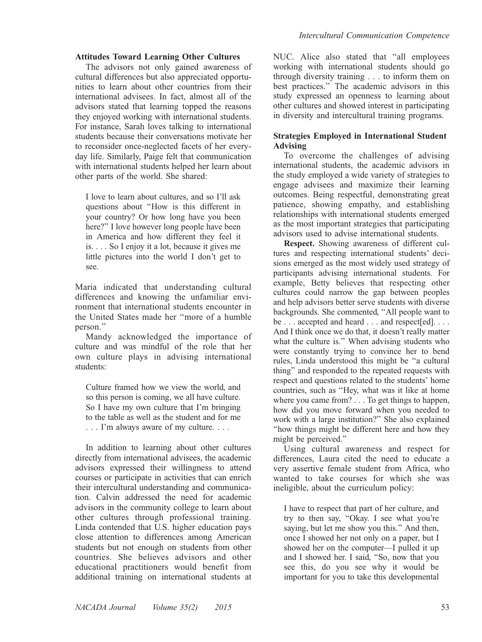#### Attitudes Toward Learning Other Cultures

The advisors not only gained awareness of cultural differences but also appreciated opportunities to learn about other countries from their international advisees. In fact, almost all of the advisors stated that learning topped the reasons they enjoyed working with international students. For instance, Sarah loves talking to international students because their conversations motivate her to reconsider once-neglected facets of her everyday life. Similarly, Paige felt that communication with international students helped her learn about other parts of the world. She shared:

I love to learn about cultures, and so I'll ask questions about ''How is this different in your country? Or how long have you been here?'' I love however long people have been in America and how different they feel it is. . . . So I enjoy it a lot, because it gives me little pictures into the world I don't get to see.

Maria indicated that understanding cultural differences and knowing the unfamiliar environment that international students encounter in the United States made her ''more of a humble person.''

Mandy acknowledged the importance of culture and was mindful of the role that her own culture plays in advising international students:

Culture framed how we view the world, and so this person is coming, we all have culture. So I have my own culture that I'm bringing to the table as well as the student and for me . . . I'm always aware of my culture. . . .

In addition to learning about other cultures directly from international advisees, the academic advisors expressed their willingness to attend courses or participate in activities that can enrich their intercultural understanding and communication. Calvin addressed the need for academic advisors in the community college to learn about other cultures through professional training. Linda contended that U.S. higher education pays close attention to differences among American students but not enough on students from other countries. She believes advisors and other educational practitioners would benefit from additional training on international students at NUC. Alice also stated that ''all employees working with international students should go through diversity training . . . to inform them on best practices.'' The academic advisors in this study expressed an openness to learning about other cultures and showed interest in participating in diversity and intercultural training programs.

# Strategies Employed in International Student Advising

To overcome the challenges of advising international students, the academic advisors in the study employed a wide variety of strategies to engage advisees and maximize their learning outcomes. Being respectful, demonstrating great patience, showing empathy, and establishing relationships with international students emerged as the most important strategies that participating advisors used to advise international students.

Respect. Showing awareness of different cultures and respecting international students' decisions emerged as the most widely used strategy of participants advising international students. For example, Betty believes that respecting other cultures could narrow the gap between peoples and help advisors better serve students with diverse backgrounds. She commented, ''All people want to be . . . accepted and heard . . . and respect[ed]. . . . And I think once we do that, it doesn't really matter what the culture is.'' When advising students who were constantly trying to convince her to bend rules, Linda understood this might be ''a cultural thing'' and responded to the repeated requests with respect and questions related to the students' home countries, such as ''Hey, what was it like at home where you came from? . . . To get things to happen, how did you move forward when you needed to work with a large institution?'' She also explained ''how things might be different here and how they might be perceived.''

Using cultural awareness and respect for differences, Laura cited the need to educate a very assertive female student from Africa, who wanted to take courses for which she was ineligible, about the curriculum policy:

I have to respect that part of her culture, and try to then say, ''Okay. I see what you're saying, but let me show you this.'' And then, once I showed her not only on a paper, but I showed her on the computer—I pulled it up and I showed her. I said, ''So, now that you see this, do you see why it would be important for you to take this developmental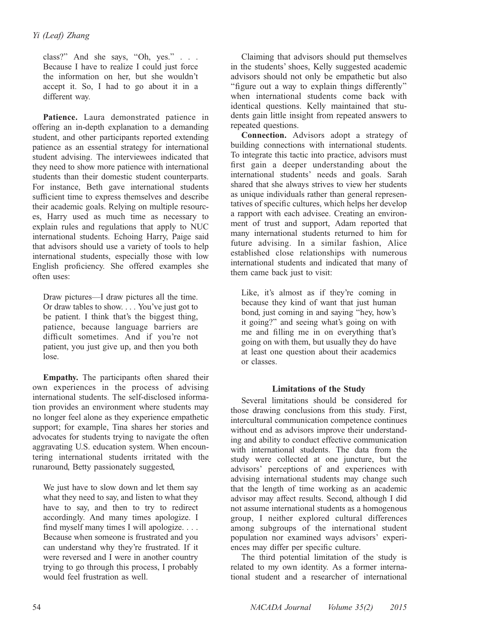class?" And she says, "Oh, yes." . . . Because I have to realize I could just force the information on her, but she wouldn't accept it. So, I had to go about it in a different way.

Patience. Laura demonstrated patience in offering an in-depth explanation to a demanding student, and other participants reported extending patience as an essential strategy for international student advising. The interviewees indicated that they need to show more patience with international students than their domestic student counterparts. For instance, Beth gave international students sufficient time to express themselves and describe their academic goals. Relying on multiple resources, Harry used as much time as necessary to explain rules and regulations that apply to NUC international students. Echoing Harry, Paige said that advisors should use a variety of tools to help international students, especially those with low English proficiency. She offered examples she often uses:

Draw pictures—I draw pictures all the time. Or draw tables to show. . . . You've just got to be patient. I think that's the biggest thing, patience, because language barriers are difficult sometimes. And if you're not patient, you just give up, and then you both lose.

Empathy. The participants often shared their own experiences in the process of advising international students. The self-disclosed information provides an environment where students may no longer feel alone as they experience empathetic support; for example, Tina shares her stories and advocates for students trying to navigate the often aggravating U.S. education system. When encountering international students irritated with the runaround, Betty passionately suggested,

We just have to slow down and let them say what they need to say, and listen to what they have to say, and then to try to redirect accordingly. And many times apologize. I find myself many times I will apologize. . . . Because when someone is frustrated and you can understand why they're frustrated. If it were reversed and I were in another country trying to go through this process, I probably would feel frustration as well.

Claiming that advisors should put themselves in the students' shoes, Kelly suggested academic advisors should not only be empathetic but also ''figure out a way to explain things differently'' when international students come back with identical questions. Kelly maintained that students gain little insight from repeated answers to repeated questions.

Connection. Advisors adopt a strategy of building connections with international students. To integrate this tactic into practice, advisors must first gain a deeper understanding about the international students' needs and goals. Sarah shared that she always strives to view her students as unique individuals rather than general representatives of specific cultures, which helps her develop a rapport with each advisee. Creating an environment of trust and support, Adam reported that many international students returned to him for future advising. In a similar fashion, Alice established close relationships with numerous international students and indicated that many of them came back just to visit:

Like, it's almost as if they're coming in because they kind of want that just human bond, just coming in and saying ''hey, how's it going?'' and seeing what's going on with me and filling me in on everything that's going on with them, but usually they do have at least one question about their academics or classes.

# Limitations of the Study

Several limitations should be considered for those drawing conclusions from this study. First, intercultural communication competence continues without end as advisors improve their understanding and ability to conduct effective communication with international students. The data from the study were collected at one juncture, but the advisors' perceptions of and experiences with advising international students may change such that the length of time working as an academic advisor may affect results. Second, although I did not assume international students as a homogenous group, I neither explored cultural differences among subgroups of the international student population nor examined ways advisors' experiences may differ per specific culture.

The third potential limitation of the study is related to my own identity. As a former international student and a researcher of international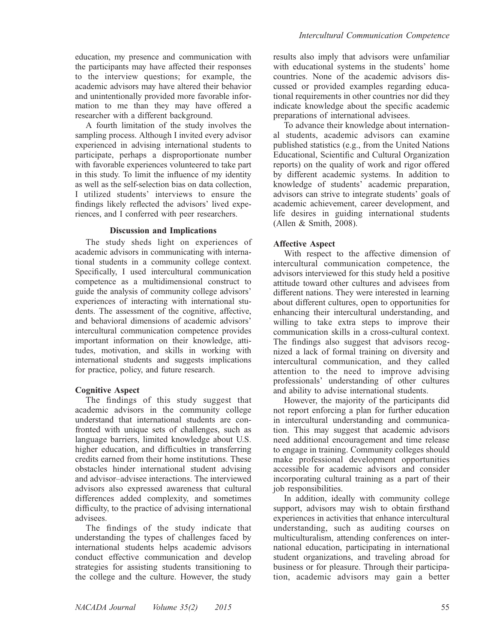education, my presence and communication with the participants may have affected their responses to the interview questions; for example, the academic advisors may have altered their behavior and unintentionally provided more favorable information to me than they may have offered a researcher with a different background.

A fourth limitation of the study involves the sampling process. Although I invited every advisor experienced in advising international students to participate, perhaps a disproportionate number with favorable experiences volunteered to take part in this study. To limit the influence of my identity as well as the self-selection bias on data collection, I utilized students' interviews to ensure the findings likely reflected the advisors' lived experiences, and I conferred with peer researchers.

#### Discussion and Implications

The study sheds light on experiences of academic advisors in communicating with international students in a community college context. Specifically, I used intercultural communication competence as a multidimensional construct to guide the analysis of community college advisors' experiences of interacting with international students. The assessment of the cognitive, affective, and behavioral dimensions of academic advisors' intercultural communication competence provides important information on their knowledge, attitudes, motivation, and skills in working with international students and suggests implications for practice, policy, and future research.

#### Cognitive Aspect

The findings of this study suggest that academic advisors in the community college understand that international students are confronted with unique sets of challenges, such as language barriers, limited knowledge about U.S. higher education, and difficulties in transferring credits earned from their home institutions. These obstacles hinder international student advising and advisor–advisee interactions. The interviewed advisors also expressed awareness that cultural differences added complexity, and sometimes difficulty, to the practice of advising international advisees.

The findings of the study indicate that understanding the types of challenges faced by international students helps academic advisors conduct effective communication and develop strategies for assisting students transitioning to the college and the culture. However, the study

results also imply that advisors were unfamiliar with educational systems in the students' home countries. None of the academic advisors discussed or provided examples regarding educational requirements in other countries nor did they indicate knowledge about the specific academic preparations of international advisees.

To advance their knowledge about international students, academic advisors can examine published statistics (e.g., from the United Nations Educational, Scientific and Cultural Organization reports) on the quality of work and rigor offered by different academic systems. In addition to knowledge of students' academic preparation, advisors can strive to integrate students' goals of academic achievement, career development, and life desires in guiding international students (Allen & Smith, 2008).

#### Affective Aspect

With respect to the affective dimension of intercultural communication competence, the advisors interviewed for this study held a positive attitude toward other cultures and advisees from different nations. They were interested in learning about different cultures, open to opportunities for enhancing their intercultural understanding, and willing to take extra steps to improve their communication skills in a cross-cultural context. The findings also suggest that advisors recognized a lack of formal training on diversity and intercultural communication, and they called attention to the need to improve advising professionals' understanding of other cultures and ability to advise international students.

However, the majority of the participants did not report enforcing a plan for further education in intercultural understanding and communication. This may suggest that academic advisors need additional encouragement and time release to engage in training. Community colleges should make professional development opportunities accessible for academic advisors and consider incorporating cultural training as a part of their job responsibilities.

In addition, ideally with community college support, advisors may wish to obtain firsthand experiences in activities that enhance intercultural understanding, such as auditing courses on multiculturalism, attending conferences on international education, participating in international student organizations, and traveling abroad for business or for pleasure. Through their participation, academic advisors may gain a better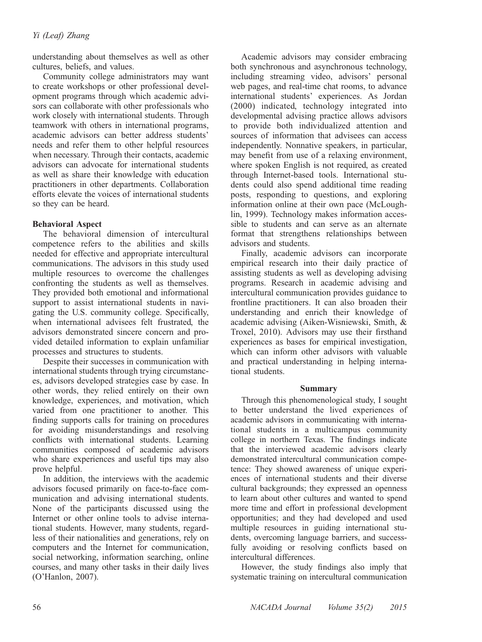understanding about themselves as well as other cultures, beliefs, and values.

Community college administrators may want to create workshops or other professional development programs through which academic advisors can collaborate with other professionals who work closely with international students. Through teamwork with others in international programs, academic advisors can better address students' needs and refer them to other helpful resources when necessary. Through their contacts, academic advisors can advocate for international students as well as share their knowledge with education practitioners in other departments. Collaboration efforts elevate the voices of international students so they can be heard.

# Behavioral Aspect

The behavioral dimension of intercultural competence refers to the abilities and skills needed for effective and appropriate intercultural communications. The advisors in this study used multiple resources to overcome the challenges confronting the students as well as themselves. They provided both emotional and informational support to assist international students in navigating the U.S. community college. Specifically, when international advisees felt frustrated, the advisors demonstrated sincere concern and provided detailed information to explain unfamiliar processes and structures to students.

Despite their successes in communication with international students through trying circumstances, advisors developed strategies case by case. In other words, they relied entirely on their own knowledge, experiences, and motivation, which varied from one practitioner to another. This finding supports calls for training on procedures for avoiding misunderstandings and resolving conflicts with international students. Learning communities composed of academic advisors who share experiences and useful tips may also prove helpful.

In addition, the interviews with the academic advisors focused primarily on face-to-face communication and advising international students. None of the participants discussed using the Internet or other online tools to advise international students. However, many students, regardless of their nationalities and generations, rely on computers and the Internet for communication, social networking, information searching, online courses, and many other tasks in their daily lives (O'Hanlon, 2007).

Academic advisors may consider embracing both synchronous and asynchronous technology, including streaming video, advisors' personal web pages, and real-time chat rooms, to advance international students' experiences. As Jordan (2000) indicated, technology integrated into developmental advising practice allows advisors to provide both individualized attention and sources of information that advisees can access independently. Nonnative speakers, in particular, may benefit from use of a relaxing environment, where spoken English is not required, as created through Internet-based tools. International students could also spend additional time reading posts, responding to questions, and exploring information online at their own pace (McLoughlin, 1999). Technology makes information accessible to students and can serve as an alternate format that strengthens relationships between advisors and students.

Finally, academic advisors can incorporate empirical research into their daily practice of assisting students as well as developing advising programs. Research in academic advising and intercultural communication provides guidance to frontline practitioners. It can also broaden their understanding and enrich their knowledge of academic advising (Aiken-Wisniewski, Smith, & Troxel, 2010). Advisors may use their firsthand experiences as bases for empirical investigation, which can inform other advisors with valuable and practical understanding in helping international students.

# Summary

Through this phenomenological study, I sought to better understand the lived experiences of academic advisors in communicating with international students in a multicampus community college in northern Texas. The findings indicate that the interviewed academic advisors clearly demonstrated intercultural communication competence: They showed awareness of unique experiences of international students and their diverse cultural backgrounds; they expressed an openness to learn about other cultures and wanted to spend more time and effort in professional development opportunities; and they had developed and used multiple resources in guiding international students, overcoming language barriers, and successfully avoiding or resolving conflicts based on intercultural differences.

However, the study findings also imply that systematic training on intercultural communication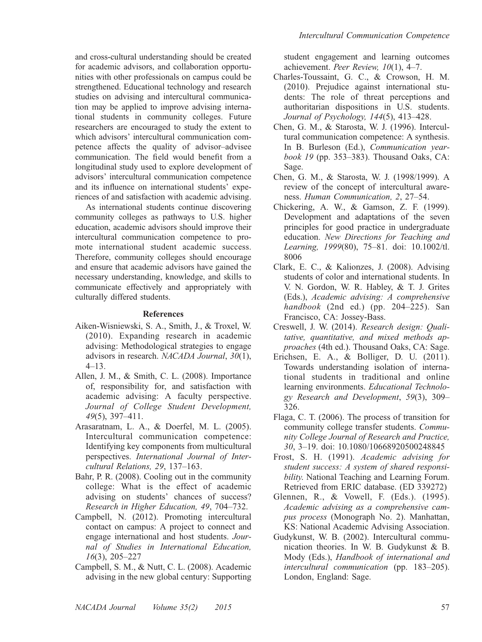and cross-cultural understanding should be created for academic advisors, and collaboration opportunities with other professionals on campus could be strengthened. Educational technology and research studies on advising and intercultural communication may be applied to improve advising international students in community colleges. Future researchers are encouraged to study the extent to which advisors' intercultural communication competence affects the quality of advisor–advisee communication. The field would benefit from a longitudinal study used to explore development of advisors' intercultural communication competence and its influence on international students' experiences of and satisfaction with academic advising.

As international students continue discovering community colleges as pathways to U.S. higher education, academic advisors should improve their intercultural communication competence to promote international student academic success. Therefore, community colleges should encourage and ensure that academic advisors have gained the necessary understanding, knowledge, and skills to communicate effectively and appropriately with culturally differed students.

# References

- Aiken-Wisniewski, S. A., Smith, J., & Troxel, W. (2010). Expanding research in academic advising: Methodological strategies to engage advisors in research. NACADA Journal, 30(1), 4–13.
- Allen, J. M., & Smith, C. L. (2008). Importance of, responsibility for, and satisfaction with academic advising: A faculty perspective. Journal of College Student Development, 49(5), 397–411.
- Arasaratnam, L. A., & Doerfel, M. L. (2005). Intercultural communication competence: Identifying key components from multicultural perspectives. International Journal of Intercultural Relations, 29, 137–163.
- Bahr, P. R. (2008). Cooling out in the community college: What is the effect of academic advising on students' chances of success? Research in Higher Education, 49, 704–732.
- Campbell, N. (2012). Promoting intercultural contact on campus: A project to connect and engage international and host students. Journal of Studies in International Education, 16(3), 205–227
- Campbell, S. M., & Nutt, C. L. (2008). Academic advising in the new global century: Supporting

student engagement and learning outcomes achievement. Peer Review, 10(1), 4–7.

- Charles-Toussaint, G. C., & Crowson, H. M. (2010). Prejudice against international students: The role of threat perceptions and authoritarian dispositions in U.S. students. Journal of Psychology, 144(5), 413–428.
- Chen, G. M., & Starosta, W. J. (1996). Intercultural communication competence: A synthesis. In B. Burleson (Ed.), Communication yearbook 19 (pp. 353–383). Thousand Oaks, CA: Sage.
- Chen, G. M., & Starosta, W. J. (1998/1999). A review of the concept of intercultural awareness. Human Communication, 2, 27–54.
- Chickering, A. W., & Gamson, Z. F. (1999). Development and adaptations of the seven principles for good practice in undergraduate education. New Directions for Teaching and Learning, 1999(80), 75–81. doi: 10.1002/tl. 8006
- Clark, E. C., & Kalionzes, J. (2008). Advising students of color and international students. In V. N. Gordon, W. R. Habley, & T. J. Grites (Eds.), Academic advising: A comprehensive handbook (2nd ed.) (pp.  $204-225$ ). San Francisco, CA: Jossey-Bass.
- Creswell, J. W. (2014). Research design: Qualitative, quantitative, and mixed methods approaches (4th ed.). Thousand Oaks, CA: Sage.
- Erichsen, E. A., & Bolliger, D. U. (2011). Towards understanding isolation of international students in traditional and online learning environments. Educational Technology Research and Development, 59(3), 309– 326.
- Flaga, C. T. (2006). The process of transition for community college transfer students. Community College Journal of Research and Practice, 30, 3–19. doi: 10.1080/10668920500248845
- Frost, S. H. (1991). Academic advising for student success: A system of shared responsibility. National Teaching and Learning Forum. Retrieved from ERIC database. (ED 339272)
- Glennen, R., & Vowell, F. (Eds.). (1995). Academic advising as a comprehensive campus process (Monograph No. 2). Manhattan, KS: National Academic Advising Association.
- Gudykunst, W. B. (2002). Intercultural communication theories. In W. B. Gudykunst & B. Mody (Eds.), Handbook of international and intercultural communication (pp. 183–205). London, England: Sage.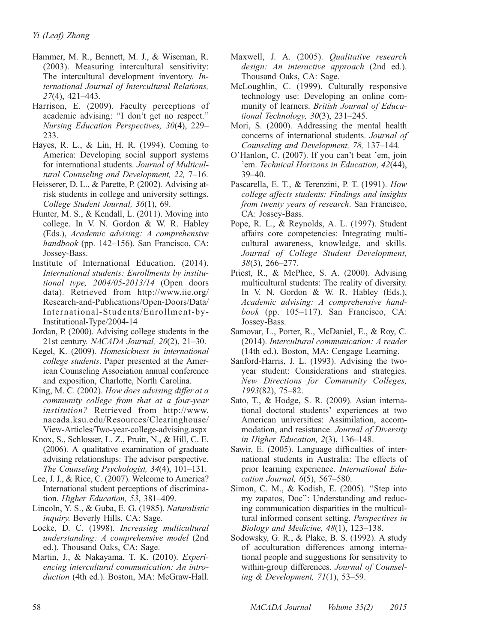- Hammer, M. R., Bennett, M. J., & Wiseman, R. (2003). Measuring intercultural sensitivity: The intercultural development inventory. International Journal of Intercultural Relations, 27(4), 421–443.
- Harrison, E. (2009). Faculty perceptions of academic advising: ''I don't get no respect.'' Nursing Education Perspectives, 30(4), 229– 233.
- Hayes, R. L., & Lin, H. R. (1994). Coming to America: Developing social support systems for international students. Journal of Multicultural Counseling and Development, 22, 7–16.
- Heisserer, D. L., & Parette, P. (2002). Advising atrisk students in college and university settings. College Student Journal, 36(1), 69.
- Hunter, M. S., & Kendall, L. (2011). Moving into college. In V. N. Gordon & W. R. Habley (Eds.), Academic advising: A comprehensive handbook (pp. 142–156). San Francisco, CA: Jossey-Bass.
- Institute of International Education. (2014). International students: Enrollments by institutional type, 2004/05-2013/14 (Open doors data). Retrieved from http://www.iie.org/ Research-and-Publications/Open-Doors/Data/ International-Students/Enrollment-by-Institutional-Type/2004-14
- Jordan, P. (2000). Advising college students in the 21st century. NACADA Journal, 20(2), 21–30.
- Kegel, K. (2009). Homesickness in international college students. Paper presented at the American Counseling Association annual conference and exposition, Charlotte, North Carolina.
- King, M. C. (2002). How does advising differ at a community college from that at a four-year institution? Retrieved from http://www. nacada.ksu.edu/Resources/Clearinghouse/ View-Articles/Two-year-college-advising.aspx
- Knox, S., Schlosser, L. Z., Pruitt, N., & Hill, C. E. (2006). A qualitative examination of graduate advising relationships: The advisor perspective. The Counseling Psychologist, 34(4), 101–131.
- Lee, J. J., & Rice, C. (2007). Welcome to America? International student perceptions of discrimination. Higher Education, 53, 381-409.
- Lincoln, Y. S., & Guba, E. G. (1985). Naturalistic inquiry. Beverly Hills, CA: Sage.
- Locke, D. C. (1998). Increasing multicultural understanding: A comprehensive model (2nd ed.). Thousand Oaks, CA: Sage.
- Martin, J., & Nakayama, T. K. (2010). Experiencing intercultural communication: An introduction (4th ed.). Boston, MA: McGraw-Hall.
- Maxwell, J. A. (2005). Qualitative research design: An interactive approach (2nd ed.). Thousand Oaks, CA: Sage.
- McLoughlin, C. (1999). Culturally responsive technology use: Developing an online community of learners. British Journal of Educational Technology, 30(3), 231–245.
- Mori, S. (2000). Addressing the mental health concerns of international students. Journal of Counseling and Development, 78, 137–144.
- O'Hanlon, C. (2007). If you can't beat 'em, join 'em. Technical Horizons in Education, 42(44), 39–40.
- Pascarella, E. T., & Terenzini, P. T. (1991). How college affects students: Findings and insights from twenty years of research. San Francisco, CA: Jossey-Bass.
- Pope, R. L., & Reynolds, A. L. (1997). Student affairs core competencies: Integrating multicultural awareness, knowledge, and skills. Journal of College Student Development, 38(3), 266–277.
- Priest, R., & McPhee, S. A. (2000). Advising multicultural students: The reality of diversity. In V. N. Gordon & W. R. Habley (Eds.), Academic advising: A comprehensive handbook (pp. 105–117). San Francisco, CA: Jossey-Bass.
- Samovar, L., Porter, R., McDaniel, E., & Roy, C. (2014). Intercultural communication: A reader (14th ed.). Boston, MA: Cengage Learning.
- Sanford-Harris, J. L. (1993). Advising the twoyear student: Considerations and strategies. New Directions for Community Colleges, 1993(82), 75–82.
- Sato, T., & Hodge, S. R. (2009). Asian international doctoral students' experiences at two American universities: Assimilation, accommodation, and resistance. Journal of Diversity in Higher Education, 2(3), 136–148.
- Sawir, E. (2005). Language difficulties of international students in Australia: The effects of prior learning experience. International Education Journal, 6(5), 567–580.
- Simon, C. M., & Kodish, E. (2005). ''Step into my zapatos, Doc'': Understanding and reducing communication disparities in the multicultural informed consent setting. Perspectives in Biology and Medicine,  $48(1)$ ,  $123-138$ .
- Sodowsky, G. R., & Plake, B. S. (1992). A study of acculturation differences among international people and suggestions for sensitivity to within-group differences. Journal of Counseling & Development, 71(1), 53–59.